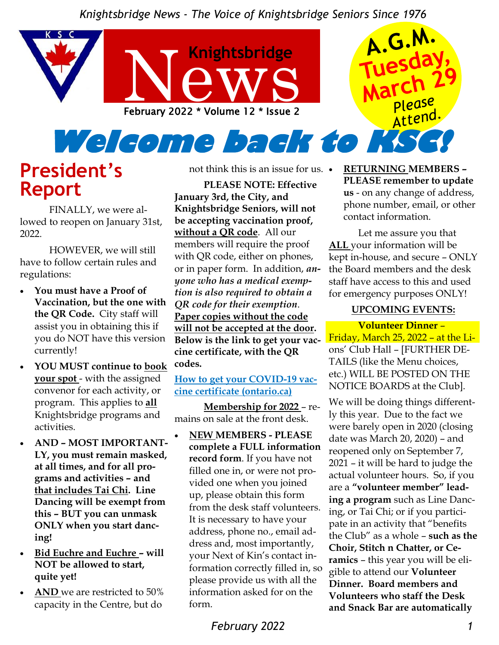

# **President's Report**

FINALLY, we were allowed to reopen on January 31st, 2022.

HOWEVER, we will still have to follow certain rules and regulations:

- **You must have a Proof of Vaccination, but the one with the QR Code.** City staff will assist you in obtaining this if you do NOT have this version currently!
- **YOU MUST continue to book your spot** - with the assigned convenor for each activity, or program. This applies to **all**  Knightsbridge programs and activities.
- **AND – MOST IMPORTANT-LY, you must remain masked, at all times, and for all programs and activities – and that includes Tai Chi. Line Dancing will be exempt from this – BUT you can unmask ONLY when you start dancing!**
- **Bid Euchre and Euchre – will NOT be allowed to start, quite yet!**
- **AND** we are restricted to 50% capacity in the Centre, but do

not think this is an issue for us.

**PLEASE NOTE: Effective January 3rd, the City, and Knightsbridge Seniors, will not be accepting vaccination proof, without a QR code**. All our members will require the proof with QR code, either on phones, or in paper form. In addition, *anyone who has a medical exemption is also required to obtain a QR code for their exemption*. **Paper copies without the code will not be accepted at the door. Below is the link to get your vaccine certificate, with the QR codes.**

**How to get your COVID-19 vaccine certificate (ontario.ca)**

**Membership for 2022** – remains on sale at the front desk.

• **NEW MEMBERS - PLEASE complete a FULL information record form**. If you have not filled one in, or were not provided one when you joined up, please obtain this form from the desk staff volunteers. It is necessary to have your address, phone no., email address and, most importantly, your Next of Kin's contact information correctly filled in, so please provide us with all the information asked for on the form.

• **RETURNING MEMBERS – PLEASE remember to update us** - on any change of address, phone number, email, or other contact information.

Let me assure you that **ALL** your information will be kept in-house, and secure – ONLY the Board members and the desk staff have access to this and used for emergency purposes ONLY!

#### **UPCOMING EVENTS:**

**Volunteer Dinner** – Friday, March 25, 2022 – at the Lions' Club Hall – [FURTHER DE-TAILS (like the Menu choices, etc.) WILL BE POSTED ON THE NOTICE BOARDS at the Club].

We will be doing things differently this year. Due to the fact we were barely open in 2020 (closing date was March 20, 2020) – and reopened only on September 7, 2021 – it will be hard to judge the actual volunteer hours. So, if you are a **"volunteer member" leading a program** such as Line Dancing, or Tai Chi; or if you participate in an activity that "benefits the Club" as a whole – **such as the Choir, Stitch n Chatter, or Ceramics** – this year you will be eligible to attend our **Volunteer Dinner. Board members and Volunteers who staff the Desk and Snack Bar are automatically**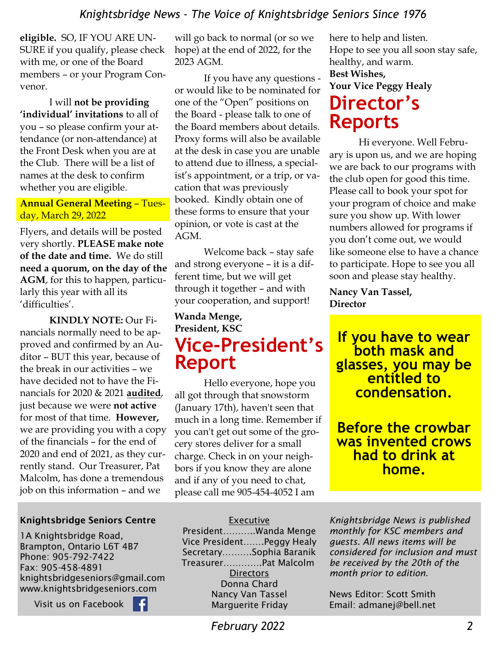**eligible.** SO, IF YOU ARE UN-SURE if you qualify, please check with me, or one of the Board members – or your Program Convenor.

I will **not be providing 'individual' invitations** to all of you – so please confirm your attendance (or non-attendance) at the Front Desk when you are at the Club. There will be a list of names at the desk to confirm whether you are eligible.

#### **Annual General Meeting** – Tuesday, March 29, 2022

Flyers, and details will be posted very shortly. **PLEASE make note of the date and time.** We do still **need a quorum, on the day of the AGM**, for this to happen, particularly this year with all its 'difficulties'.

**KINDLY NOTE:** Our Financials normally need to be approved and confirmed by an Auditor – BUT this year, because of the break in our activities – we have decided not to have the Financials for 2020 & 2021 **audited**, just because we were **not active**  for most of that time. **However,**  we are providing you with a copy of the financials – for the end of 2020 and end of 2021, as they currently stand. Our Treasurer, Pat Malcolm, has done a tremendous job on this information – and we

#### Knightsbridge Seniors Centre

1A Knightsbridge Road, Brampton, Ontario L6T 4B7 Phone: 905-792-7422 Fax: 905-458-4891 knightsbridgeseniors@gmail.com www.knightsbridgeseniors.com

Ŧ

Visit us on Facebook

will go back to normal (or so we hope) at the end of 2022, for the 2023 AGM.

If you have any questions or would like to be nominated for one of the "Open" positions on the Board - please talk to one of the Board members about details. Proxy forms will also be available at the desk in case you are unable to attend due to illness, a specialist's appointment, or a trip, or vacation that was previously booked. Kindly obtain one of these forms to ensure that your opinion, or vote is cast at the AGM.

Welcome back – stay safe and strong everyone – it is a different time, but we will get through it together – and with your cooperation, and support!

### **Wanda Menge, President, KSC Vice-President's Report**

Hello everyone, hope you all got through that snowstorm (January 17th), haven't seen that much in a long time. Remember if you can't get out some of the grocery stores deliver for a small charge. Check in on your neighbors if you know they are alone and if any of you need to chat, please call me 905-454-4052 I am

here to help and listen. Hope to see you all soon stay safe, healthy, and warm. **Best Wishes, Your Vice Peggy Healy Director's Reports**

Hi everyone. Well February is upon us, and we are hoping we are back to our programs with the club open for good this time. Please call to book your spot for your program of choice and make sure you show up. With lower numbers allowed for programs if you don't come out, we would like someone else to have a chance to participate. Hope to see you all soon and please stay healthy.

**Nancy Van Tassel, Director** 

**If you have to wear both mask and glasses, you may be entitled to condensation.**

**Before the crowbar was invented crows had to drink at home.** 

#### **Executive**

President………..Wanda Menge Vice President…….Peggy Healy Secretary……….Sophia Baranik Treasurer………….Pat Malcolm **Directors** Donna Chard Nancy Van Tassel Marguerite Friday

*Knightsbridge News is published monthly for KSC members and guests. All news items will be considered for inclusion and must be received by the 20th of the month prior to edition.* 

News Editor: Scott Smith Email: admanej@bell.net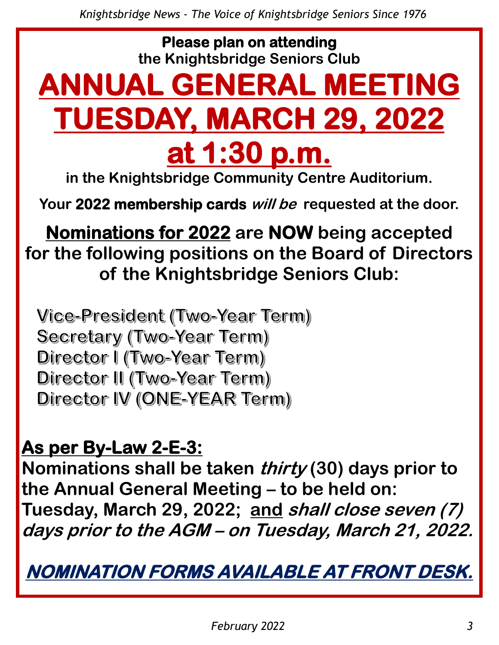**Please plan on attending the Knightsbridge Seniors Club** 

# **ANNUAL GENERAL MEETING TUESDAY, MARCH 29, 2022 at 1:30 p.m.**

**in the Knightsbridge Community Centre Auditorium.**

**Your 2022 membership cards will be requested at the door.**

**Nominations for 2022 are NOW being accepted for the following positions on the Board of Directors of the Knightsbridge Seniors Club:**

Vice-President (Two-Year Term) Secretary (Two-Year Term) Director I (Two-Year Term) Director II (Two-Year Term) Director IV (ONE-YEAR Term)

**As per By-Law 2-E-3:**

**Nominations shall be taken thirty (30) days prior to the Annual General Meeting – to be held on: Tuesday, March 29, 2022; and shall close seven (7) days prior to the AGM – on Tuesday, March 21, 2022.**

**NOMINATION FORMS AVAILABLE AT FRONT DESK.**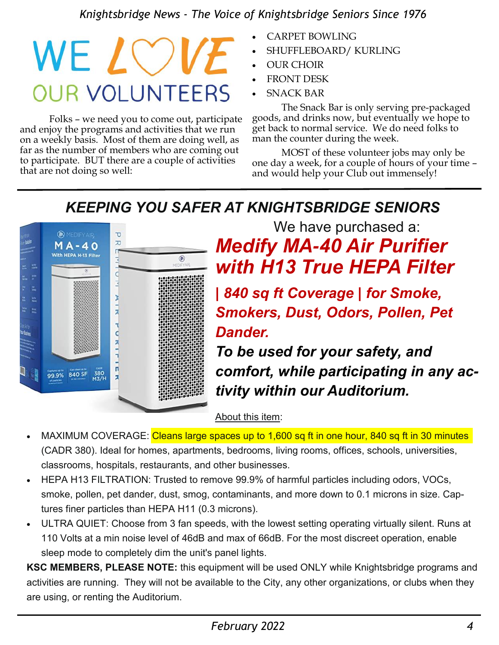# WE LOV **OUR VOLUNTEERS**

Folks – we need you to come out, participate and enjoy the programs and activities that we run on a weekly basis. Most of them are doing well, as far as the number of members who are coming out to participate. BUT there are a couple of activities that are not doing so well:

- CARPET BOWLING
- SHUFFLEBOARD/ KURLING
- OUR CHOIR
- **FRONT DESK**
- **SNACK BAR**

The Snack Bar is only serving pre-packaged goods, and drinks now, but eventually we hope to get back to normal service. We do need folks to man the counter during the week.

MOST of these volunteer jobs may only be one day a week, for a couple of hours of your time – and would help your Club out immensely!

# *KEEPING YOU SAFER AT KNIGHTSBRIDGE SENIORS*



We have purchased a: *Medify MA-40 Air Purifier with H13 True HEPA Filter* 

*| 840 sq ft Coverage | for Smoke, Smokers, Dust, Odors, Pollen, Pet Dander.* 

*To be used for your safety, and comfort, while participating in any activity within our Auditorium.*

About this item:

- MAXIMUM COVERAGE: Cleans large spaces up to 1,600 sq ft in one hour, 840 sq ft in 30 minutes (CADR 380). Ideal for homes, apartments, bedrooms, living rooms, offices, schools, universities, classrooms, hospitals, restaurants, and other businesses.
- HEPA H13 FILTRATION: Trusted to remove 99.9% of harmful particles including odors, VOCs, smoke, pollen, pet dander, dust, smog, contaminants, and more down to 0.1 microns in size. Captures finer particles than HEPA H11 (0.3 microns).
- ULTRA QUIET: Choose from 3 fan speeds, with the lowest setting operating virtually silent. Runs at 110 Volts at a min noise level of 46dB and max of 66dB. For the most discreet operation, enable sleep mode to completely dim the unit's panel lights.

**KSC MEMBERS, PLEASE NOTE:** this equipment will be used ONLY while Knightsbridge programs and activities are running. They will not be available to the City, any other organizations, or clubs when they are using, or renting the Auditorium.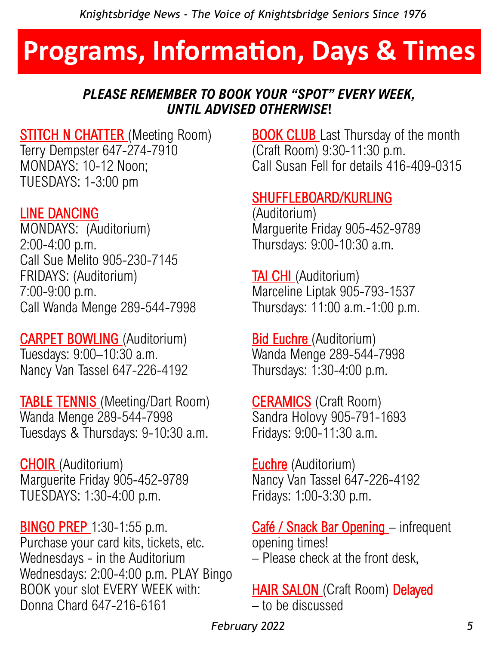# **Programs, Information, Days & Times**

## *PLEASE REMEMBER TO BOOK YOUR "SPOT" EVERY WEEK, UNTIL ADVISED OTHERWISE***!**

**STITCH N CHATTER** (Meeting Room) Terry Dempster 647-274-7910 MONDAYS: 10-12 Noon; TUESDAYS: 1-3:00 pm

## LINE DANCING

MONDAYS: (Auditorium) 2:00-4:00 p.m. Call Sue Melito 905-230-7145 FRIDAYS: (Auditorium) 7:00-9:00 p.m. Call Wanda Menge 289-544-7998

CARPET BOWLING (Auditorium) Tuesdays: 9:00–10:30 a.m. Nancy Van Tassel 647-226-4192

**TABLE TENNIS** (Meeting/Dart Room) Wanda Menge 289-544-7998 Tuesdays & Thursdays: 9-10:30 a.m.

CHOIR (Auditorium) Marguerite Friday 905-452-9789 TUESDAYS: 1:30-4:00 p.m.

**BINGO PREP** 1:30-1:55 p.m. Purchase your card kits, tickets, etc. Wednesdays - in the Auditorium Wednesdays: 2:00-4:00 p.m. PLAY Bingo BOOK your slot EVERY WEEK with: Donna Chard 647-216-6161

**BOOK CLUB** Last Thursday of the month (Craft Room) 9:30-11:30 p.m. Call Susan Fell for details 416-409-0315

# SHUFFLEBOARD/KURLING

(Auditorium) Marguerite Friday 905-452-9789 Thursdays: 9:00-10:30 a.m.

TAI CHI (Auditorium) Marceline Liptak 905-793-1537 Thursdays: 11:00 a.m.-1:00 p.m.

Bid Euchre (Auditorium) Wanda Menge 289-544-7998 Thursdays: 1:30-4:00 p.m.

**CERAMICS** (Craft Room) Sandra Holovy 905-791-1693 Fridays: 9:00-11:30 a.m.

**Euchre** (Auditorium) Nancy Van Tassel 647-226-4192 Fridays: 1:00-3:30 p.m.

Café / Snack Bar Opening - infrequent opening times! – Please check at the front desk,

**HAIR SALON** (Craft Room) Delayed – to be discussed

 *February 2022 5*